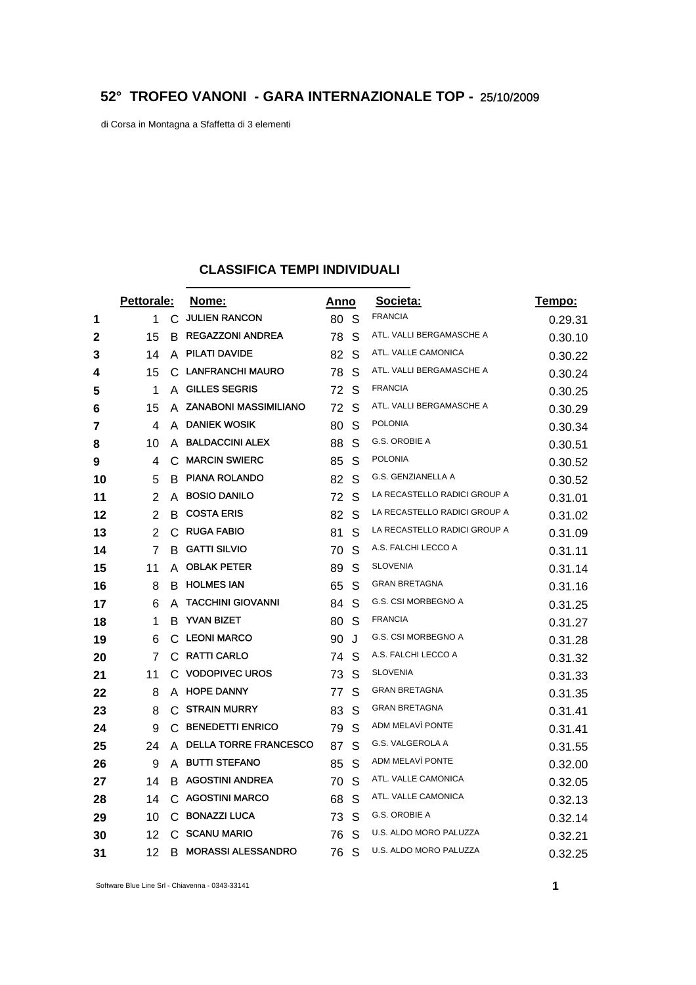## **52° TROFEO VANONI - GARA INTERNAZIONALE TOP -** 25/10/2009

di Corsa in Montagna a Sfaffetta di 3 elementi

## **CLASSIFICA TEMPI INDIVIDUALI**

|    | <b>Pettorale:</b> |    | Nome:                        |    | <u>Anno</u> | Societa:                     | Tempo:  |
|----|-------------------|----|------------------------------|----|-------------|------------------------------|---------|
| 1  | 1                 | C  | <b>JULIEN RANCON</b>         | 80 | -S          | <b>FRANCIA</b>               | 0.29.31 |
| 2  | 15                | B. | <b>REGAZZONI ANDREA</b>      | 78 | S           | ATL. VALLI BERGAMASCHE A     | 0.30.10 |
| 3  | 14                | A  | PILATI DAVIDE                | 82 | S           | ATL. VALLE CAMONICA          | 0.30.22 |
| 4  | 15                | C  | <b>LANFRANCHI MAURO</b>      | 78 | S           | ATL. VALLI BERGAMASCHE A     | 0.30.24 |
| 5  | 1                 | A  | <b>GILLES SEGRIS</b>         | 72 | S           | <b>FRANCIA</b>               | 0.30.25 |
| 6  | 15                | A  | <b>ZANABONI MASSIMILIANO</b> | 72 | S           | ATL. VALLI BERGAMASCHE A     | 0.30.29 |
| 7  | 4                 | A  | <b>DANIEK WOSIK</b>          | 80 | S           | <b>POLONIA</b>               | 0.30.34 |
| 8  | 10                |    | A BALDACCINI ALEX            | 88 | S           | G.S. OROBIE A                | 0.30.51 |
| 9  | 4                 | C  | <b>MARCIN SWIERC</b>         | 85 | S           | <b>POLONIA</b>               | 0.30.52 |
| 10 | 5                 | B  | <b>PIANA ROLANDO</b>         | 82 | S           | G.S. GENZIANELLA A           | 0.30.52 |
| 11 | 2                 | A  | <b>BOSIO DANILO</b>          | 72 | S           | LA RECASTELLO RADICI GROUP A | 0.31.01 |
| 12 | 2                 | В  | <b>COSTA ERIS</b>            | 82 | S           | LA RECASTELLO RADICI GROUP A | 0.31.02 |
| 13 | $\overline{2}$    | C  | <b>RUGA FABIO</b>            | 81 | S           | LA RECASTELLO RADICI GROUP A | 0.31.09 |
| 14 | 7                 | B. | <b>GATTI SILVIO</b>          | 70 | S           | A.S. FALCHI LECCO A          | 0.31.11 |
| 15 | 11                | A  | <b>OBLAK PETER</b>           | 89 | S           | <b>SLOVENIA</b>              | 0.31.14 |
| 16 | 8                 | B  | <b>HOLMES IAN</b>            | 65 | S           | <b>GRAN BRETAGNA</b>         | 0.31.16 |
| 17 | 6                 | A  | <b>TACCHINI GIOVANNI</b>     | 84 | S           | G.S. CSI MORBEGNO A          | 0.31.25 |
| 18 | 1                 | В  | <b>YVAN BIZET</b>            | 80 | S           | <b>FRANCIA</b>               | 0.31.27 |
| 19 | 6                 | C  | <b>LEONI MARCO</b>           | 90 | J           | G.S. CSI MORBEGNO A          | 0.31.28 |
| 20 | 7                 | C  | <b>RATTI CARLO</b>           | 74 | S           | A.S. FALCHI LECCO A          | 0.31.32 |
| 21 | 11                | C  | <b>VODOPIVEC UROS</b>        | 73 | S           | <b>SLOVENIA</b>              | 0.31.33 |
| 22 | 8                 | A  | <b>HOPE DANNY</b>            | 77 | S           | <b>GRAN BRETAGNA</b>         | 0.31.35 |
| 23 | 8                 | C  | <b>STRAIN MURRY</b>          | 83 | S           | <b>GRAN BRETAGNA</b>         | 0.31.41 |
| 24 | 9                 | C  | <b>BENEDETTI ENRICO</b>      | 79 | S           | ADM MELAVÌ PONTE             | 0.31.41 |
| 25 | 24                | A  | <b>DELLA TORRE FRANCESCO</b> | 87 | S           | G.S. VALGEROLA A             | 0.31.55 |
| 26 | 9                 | A  | <b>BUTTI STEFANO</b>         | 85 | S           | ADM MELAVI PONTE             | 0.32.00 |
| 27 | 14                | B. | <b>AGOSTINI ANDREA</b>       | 70 | S           | ATL. VALLE CAMONICA          | 0.32.05 |
| 28 | 14                | С  | <b>AGOSTINI MARCO</b>        | 68 | S           | ATL. VALLE CAMONICA          | 0.32.13 |
| 29 | 10                | C  | <b>BONAZZI LUCA</b>          | 73 | S           | G.S. OROBIE A                | 0.32.14 |
| 30 | 12                | C  | <b>SCANU MARIO</b>           | 76 | S           | U.S. ALDO MORO PALUZZA       | 0.32.21 |
| 31 | 12                | В  | <b>MORASSI ALESSANDRO</b>    | 76 | S           | U.S. ALDO MORO PALUZZA       | 0.32.25 |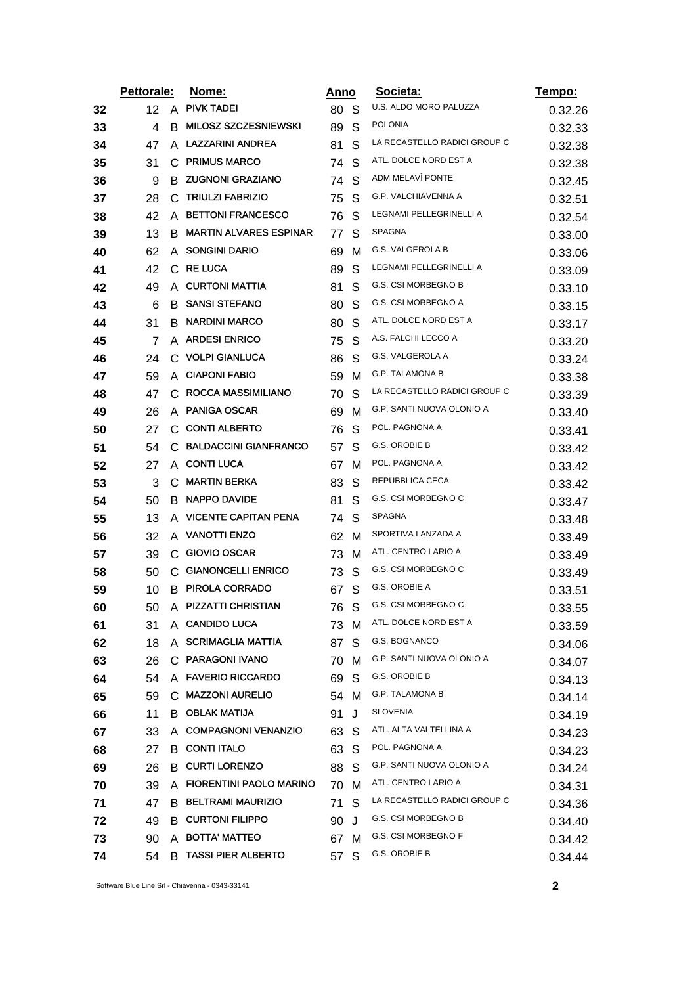|    | <b>Pettorale:</b> |   | Nome:                         | Anno |              | Societa:                     | <u>Tempo:</u> |
|----|-------------------|---|-------------------------------|------|--------------|------------------------------|---------------|
| 32 | 12                | A | <b>PIVK TADEI</b>             | 80 S |              | U.S. ALDO MORO PALUZZA       | 0.32.26       |
| 33 | 4                 | В | <b>MILOSZ SZCZESNIEWSKI</b>   | 89   | S            | <b>POLONIA</b>               | 0.32.33       |
| 34 | 47                | A | <b>LAZZARINI ANDREA</b>       | 81   | S            | LA RECASTELLO RADICI GROUP C | 0.32.38       |
| 35 | 31                | С | <b>PRIMUS MARCO</b>           | 74   | S            | ATL. DOLCE NORD EST A        | 0.32.38       |
| 36 | 9                 |   | <b>B ZUGNONI GRAZIANO</b>     | 74   | S            | ADM MELAVI PONTE             | 0.32.45       |
| 37 | 28                | C | <b>TRIULZI FABRIZIO</b>       | 75   | S            | G.P. VALCHIAVENNA A          | 0.32.51       |
| 38 | 42                | A | <b>BETTONI FRANCESCO</b>      | 76   | S            | LEGNAMI PELLEGRINELLI A      | 0.32.54       |
| 39 | 13                | B | <b>MARTIN ALVARES ESPINAR</b> | 77   | S            | <b>SPAGNA</b>                | 0.33.00       |
| 40 | 62                |   | A SONGINI DARIO               | 69   | M            | <b>G.S. VALGEROLA B</b>      | 0.33.06       |
| 41 | 42                |   | C RE LUCA                     | 89   | S            | LEGNAMI PELLEGRINELLI A      | 0.33.09       |
| 42 | 49                |   | A CURTONI MATTIA              | 81   | S            | <b>G.S. CSI MORBEGNO B</b>   | 0.33.10       |
| 43 | 6                 |   | <b>B SANSI STEFANO</b>        | 80   | S            | G.S. CSI MORBEGNO A          | 0.33.15       |
| 44 | 31                | В | <b>NARDINI MARCO</b>          | 80   | S            | ATL. DOLCE NORD EST A        | 0.33.17       |
| 45 | 7                 |   | A ARDESI ENRICO               | 75   | S            | A.S. FALCHI LECCO A          | 0.33.20       |
| 46 | 24                | С | <b>VOLPI GIANLUCA</b>         | 86   | S            | G.S. VALGEROLA A             | 0.33.24       |
| 47 | 59                |   | A CIAPONI FABIO               | 59   | м            | G.P. TALAMONA B              | 0.33.38       |
| 48 | 47                | C | <b>ROCCA MASSIMILIANO</b>     | 70   | S            | LA RECASTELLO RADICI GROUP C | 0.33.39       |
| 49 | 26                |   | A PANIGA OSCAR                | 69   | м            | G.P. SANTI NUOVA OLONIO A    | 0.33.40       |
| 50 | 27                |   | C CONTI ALBERTO               | 76   | S            | POL. PAGNONA A               | 0.33.41       |
| 51 | 54                | C | <b>BALDACCINI GIANFRANCO</b>  | 57   | S            | G.S. OROBIE B                | 0.33.42       |
| 52 | 27                |   | A CONTILUCA                   | 67   | м            | POL. PAGNONA A               | 0.33.42       |
| 53 | 3                 | С | <b>MARTIN BERKA</b>           | 83   | S            | REPUBBLICA CECA              | 0.33.42       |
| 54 | 50                | в | NAPPO DAVIDE                  | 81   | S            | G.S. CSI MORBEGNO C          | 0.33.47       |
| 55 | 13                | A | <b>VICENTE CAPITAN PENA</b>   | 74   | S            | SPAGNA                       | 0.33.48       |
| 56 | 32                |   | A VANOTTI ENZO                | 62   | м            | SPORTIVA LANZADA A           | 0.33.49       |
| 57 | 39                | C | <b>GIOVIO OSCAR</b>           | 73   | м            | ATL. CENTRO LARIO A          | 0.33.49       |
| 58 | 50                |   | C GIANONCELLI ENRICO          | 73   | S            | G.S. CSI MORBEGNO C          | 0.33.49       |
| 59 | 10                |   | <b>B PIROLA CORRADO</b>       | 67   | S            | G.S. OROBIE A                | 0.33.51       |
| 60 | 50                | A | <b>PIZZATTI CHRISTIAN</b>     | 76   | S            | G.S. CSI MORBEGNO C          | 0.33.55       |
| 61 | 31                |   | A CANDIDO LUCA                | 73 M |              | ATL. DOLCE NORD EST A        | 0.33.59       |
| 62 | 18                |   | A SCRIMAGLIA MATTIA           | 87   | S            | G.S. BOGNANCO                | 0.34.06       |
| 63 | 26                |   | C PARAGONI IVANO              | 70   | м            | G.P. SANTI NUOVA OLONIO A    | 0.34.07       |
| 64 | 54                |   | A FAVERIO RICCARDO            | 69   | -S           | G.S. OROBIE B                | 0.34.13       |
| 65 | 59                |   | C MAZZONI AURELIO             | 54 M |              | <b>G.P. TALAMONA B</b>       | 0.34.14       |
| 66 | 11                |   | <b>B OBLAK MATIJA</b>         | 91   | J            | <b>SLOVENIA</b>              | 0.34.19       |
| 67 | 33                |   | A COMPAGNONI VENANZIO         | 63   | <sub>S</sub> | ATL. ALTA VALTELLINA A       | 0.34.23       |
| 68 | 27                |   | <b>B</b> CONTI ITALO          | 63 S |              | POL. PAGNONA A               | 0.34.23       |
| 69 | 26                |   | <b>B</b> CURTI LORENZO        | 88 S |              | G.P. SANTI NUOVA OLONIO A    | 0.34.24       |
| 70 | 39                |   | A FIORENTINI PAOLO MARINO     | 70   | м            | ATL. CENTRO LARIO A          | 0.34.31       |
| 71 | 47                |   | B BELTRAMI MAURIZIO           | 71   | S            | LA RECASTELLO RADICI GROUP C | 0.34.36       |
| 72 | 49                |   | <b>B CURTONI FILIPPO</b>      | 90   | J            | G.S. CSI MORBEGNO B          | 0.34.40       |
| 73 | 90                |   | A BOTTA' MATTEO               | 67 M |              | G.S. CSI MORBEGNO F          | 0.34.42       |
| 74 | 54                | B | <b>TASSI PIER ALBERTO</b>     | 57   | S            | G.S. OROBIE B                | 0.34.44       |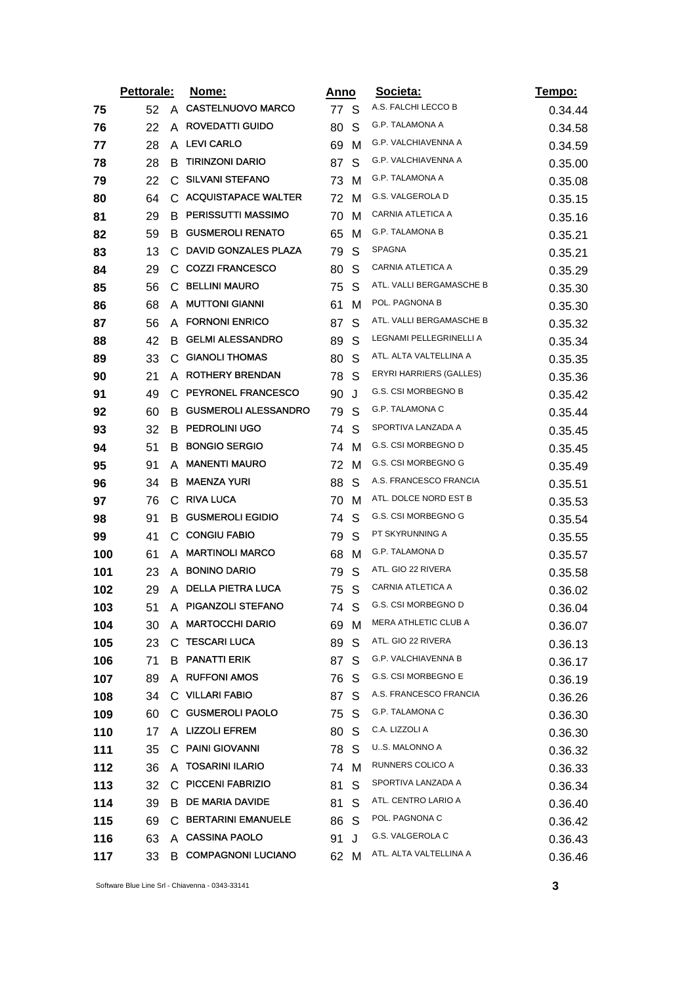|     | Pettorale: |              | Nome:                       | Anno |   | Societa:                    | Tempo:  |
|-----|------------|--------------|-----------------------------|------|---|-----------------------------|---------|
| 75  | 52         | A            | <b>CASTELNUOVO MARCO</b>    | 77 S |   | A.S. FALCHI LECCO B         | 0.34.44 |
| 76  | 22         | A            | <b>ROVEDATTI GUIDO</b>      | 80   | S | G.P. TALAMONA A             | 0.34.58 |
| 77  | 28         | A            | <b>LEVI CARLO</b>           | 69   | м | G.P. VALCHIAVENNA A         | 0.34.59 |
| 78  | 28         | B            | <b>TIRINZONI DARIO</b>      | 87   | S | <b>G.P. VALCHIAVENNA A</b>  | 0.35.00 |
| 79  | 22         | $\mathsf{C}$ | <b>SILVANI STEFANO</b>      | 73 M |   | G.P. TALAMONA A             | 0.35.08 |
| 80  | 64         |              | C ACQUISTAPACE WALTER       | 72   | M | G.S. VALGEROLA D            | 0.35.15 |
| 81  | 29         | B            | PERISSUTTI MASSIMO          | 70   | м | CARNIA ATLETICA A           | 0.35.16 |
| 82  | 59         | в            | <b>GUSMEROLI RENATO</b>     | 65   | M | <b>G.P. TALAMONA B</b>      | 0.35.21 |
| 83  | 13         | C            | DAVID GONZALES PLAZA        | 79   | S | SPAGNA                      | 0.35.21 |
| 84  | 29         | $\mathbf{C}$ | <b>COZZI FRANCESCO</b>      | 80   | S | CARNIA ATLETICA A           | 0.35.29 |
| 85  | 56         | С            | <b>BELLINI MAURO</b>        | 75   | S | ATL. VALLI BERGAMASCHE B    | 0.35.30 |
| 86  | 68         | A            | <b>MUTTONI GIANNI</b>       | 61   | м | POL. PAGNONA B              | 0.35.30 |
| 87  | 56         | A            | <b>FORNONI ENRICO</b>       | 87   | S | ATL. VALLI BERGAMASCHE B    | 0.35.32 |
| 88  | 42         | B            | <b>GELMI ALESSANDRO</b>     | 89   | S | LEGNAMI PELLEGRINELLI A     | 0.35.34 |
| 89  | 33         | C            | <b>GIANOLI THOMAS</b>       | 80   | S | ATL. ALTA VALTELLINA A      | 0.35.35 |
| 90  | 21         | A            | <b>ROTHERY BRENDAN</b>      | 78   | S | ERYRI HARRIERS (GALLES)     | 0.35.36 |
| 91  | 49         | С            | PEYRONEL FRANCESCO          | 90   | J | <b>G.S. CSI MORBEGNO B</b>  | 0.35.42 |
| 92  | 60         | В            | <b>GUSMEROLI ALESSANDRO</b> | 79   | S | <b>G.P. TALAMONA C</b>      | 0.35.44 |
| 93  | 32         | B            | <b>PEDROLINI UGO</b>        | 74   | S | SPORTIVA LANZADA A          | 0.35.45 |
| 94  | 51         | В            | <b>BONGIO SERGIO</b>        | 74   | M | G.S. CSI MORBEGNO D         | 0.35.45 |
| 95  | 91         | A            | <b>MANENTI MAURO</b>        | 72   | M | G.S. CSI MORBEGNO G         | 0.35.49 |
| 96  | 34         | B            | <b>MAENZA YURI</b>          | 88   | S | A.S. FRANCESCO FRANCIA      | 0.35.51 |
| 97  | 76         | C.           | <b>RIVA LUCA</b>            | 70   | M | ATL. DOLCE NORD EST B       | 0.35.53 |
| 98  | 91         | B            | <b>GUSMEROLI EGIDIO</b>     | 74   | S | G.S. CSI MORBEGNO G         | 0.35.54 |
| 99  | 41         |              | C CONGIU FABIO              | 79   | S | PT SKYRUNNING A             | 0.35.55 |
| 100 | 61         | A            | <b>MARTINOLI MARCO</b>      | 68   | M | G.P. TALAMONA D             | 0.35.57 |
| 101 | 23         | A            | <b>BONINO DARIO</b>         | 79   | S | ATL. GIO 22 RIVERA          | 0.35.58 |
| 102 | 29         | A            | <b>DELLA PIETRA LUCA</b>    | 75   | S | CARNIA ATLETICA A           | 0.36.02 |
| 103 | 51         | A            | PIGANZOLI STEFANO           | 74   | S | G.S. CSI MORBEGNO D         | 0.36.04 |
| 104 | 30         |              | A MARTOCCHI DARIO           | 69 M |   | <b>MERA ATHLETIC CLUB A</b> | 0.36.07 |
| 105 | 23         | C.           | <b>TESCARI LUCA</b>         | 89   | S | ATL. GIO 22 RIVERA          | 0.36.13 |
| 106 | 71         |              | <b>B PANATTI ERIK</b>       | 87   | S | G.P. VALCHIAVENNA B         | 0.36.17 |
| 107 | 89         | A            | <b>RUFFONI AMOS</b>         | 76 S |   | G.S. CSI MORBEGNO E         | 0.36.19 |
| 108 | 34         |              | C VILLARI FABIO             | 87   | S | A.S. FRANCESCO FRANCIA      | 0.36.26 |
| 109 | 60         | C.           | <b>GUSMEROLI PAOLO</b>      | 75   | S | <b>G.P. TALAMONA C</b>      | 0.36.30 |
| 110 | 17         |              | A LIZZOLI EFREM             | 80   | S | C.A. LIZZOLI A              | 0.36.30 |
| 111 | 35         | С            | <b>PAINI GIOVANNI</b>       | 78 S |   | U.S. MALONNO A              | 0.36.32 |
| 112 | 36         | A            | <b>TOSARINI ILARIO</b>      | 74 M |   | RUNNERS COLICO A            | 0.36.33 |
| 113 | 32         | C            | <b>PICCENI FABRIZIO</b>     | 81   | S | SPORTIVA LANZADA A          | 0.36.34 |
| 114 | 39         | B.           | <b>DE MARIA DAVIDE</b>      | 81   | S | ATL. CENTRO LARIO A         | 0.36.40 |
| 115 | 69         | C            | <b>BERTARINI EMANUELE</b>   | 86   | S | POL. PAGNONA C              | 0.36.42 |
| 116 | 63         |              | A CASSINA PAOLO             | 91   | J | G.S. VALGEROLA C            | 0.36.43 |
| 117 | 33         |              | <b>B COMPAGNONI LUCIANO</b> | 62 M |   | ATL. ALTA VALTELLINA A      | 0.36.46 |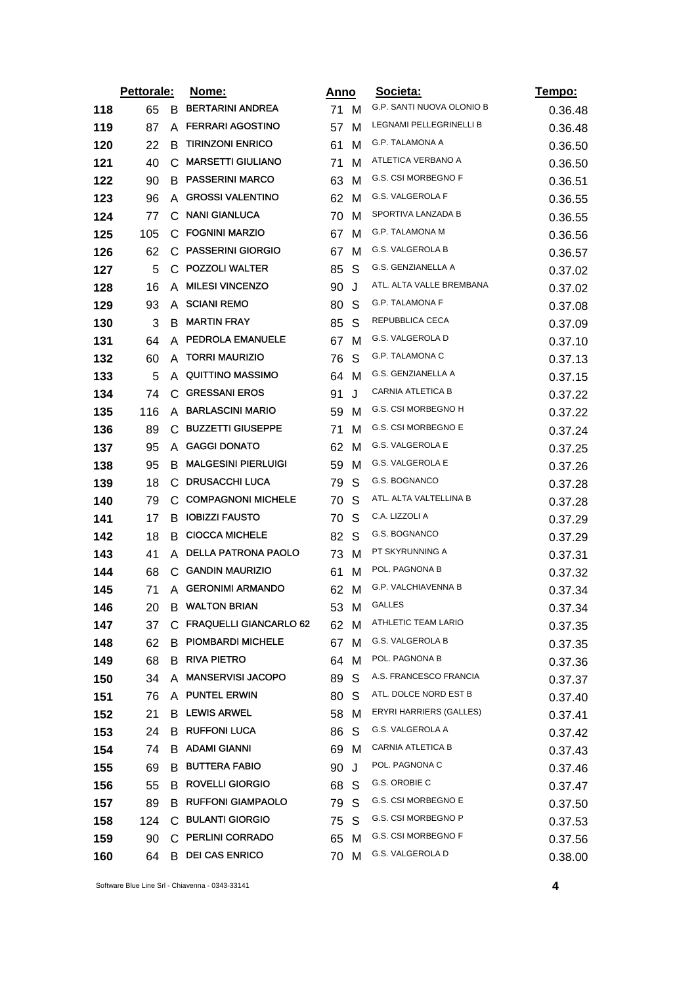|     | Pettorale: |    | <u>Nome:</u>               |      | <u>Anno</u> | Societa:                   | Tempo:  |
|-----|------------|----|----------------------------|------|-------------|----------------------------|---------|
| 118 | 65         | B  | <b>BERTARINI ANDREA</b>    | 71 M |             | G.P. SANTI NUOVA OLONIO B  | 0.36.48 |
| 119 | 87         | A  | <b>FERRARI AGOSTINO</b>    | 57   | M           | LEGNAMI PELLEGRINELLI B    | 0.36.48 |
| 120 | 22         | в  | <b>TIRINZONI ENRICO</b>    | 61   | M           | G.P. TALAMONA A            | 0.36.50 |
| 121 | 40         | C  | <b>MARSETTI GIULIANO</b>   | 71   | м           | ATLETICA VERBANO A         | 0.36.50 |
| 122 | 90         | B  | <b>PASSERINI MARCO</b>     | 63   | M           | G.S. CSI MORBEGNO F        | 0.36.51 |
| 123 | 96         | A  | <b>GROSSI VALENTINO</b>    | 62   | м           | G.S. VALGEROLA F           | 0.36.55 |
| 124 | 77         | С  | <b>NANI GIANLUCA</b>       | 70   | M           | SPORTIVA LANZADA B         | 0.36.55 |
| 125 | 105        | C. | <b>FOGNINI MARZIO</b>      | 67   | м           | G.P. TALAMONA M            | 0.36.56 |
| 126 | 62         | C  | <b>PASSERINI GIORGIO</b>   | 67   | M           | G.S. VALGEROLA B           | 0.36.57 |
| 127 | 5          |    | C POZZOLI WALTER           | 85   | S           | G.S. GENZIANELLA A         | 0.37.02 |
| 128 | 16         | A  | <b>MILESI VINCENZO</b>     | 90   | J           | ATL. ALTA VALLE BREMBANA   | 0.37.02 |
| 129 | 93         | A  | <b>SCIANI REMO</b>         | 80   | S           | G.P. TALAMONA F            | 0.37.08 |
| 130 | 3          | B  | <b>MARTIN FRAY</b>         | 85   | S           | REPUBBLICA CECA            | 0.37.09 |
| 131 | 64         | A  | PEDROLA EMANUELE           | 67   | M           | G.S. VALGEROLA D           | 0.37.10 |
| 132 | 60         | A  | <b>TORRI MAURIZIO</b>      | 76   | S           | <b>G.P. TALAMONA C</b>     | 0.37.13 |
| 133 | 5          |    | A QUITTINO MASSIMO         | 64   | M           | G.S. GENZIANELLA A         | 0.37.15 |
| 134 | 74         | C  | <b>GRESSANI EROS</b>       | 91   | J           | CARNIA ATLETICA B          | 0.37.22 |
| 135 | 116        | A  | <b>BARLASCINI MARIO</b>    | 59   | M           | G.S. CSI MORBEGNO H        | 0.37.22 |
| 136 | 89         | С  | <b>BUZZETTI GIUSEPPE</b>   | 71   | M           | G.S. CSI MORBEGNO E        | 0.37.24 |
| 137 | 95         | A  | <b>GAGGI DONATO</b>        | 62   | M           | G.S. VALGEROLA E           | 0.37.25 |
| 138 | 95         | B  | <b>MALGESINI PIERLUIGI</b> | 59   | м           | G.S. VALGEROLA E           | 0.37.26 |
| 139 | 18         | C  | <b>DRUSACCHI LUCA</b>      | 79   | S           | G.S. BOGNANCO              | 0.37.28 |
| 140 | 79         |    | C COMPAGNONI MICHELE       | 70   | S           | ATL. ALTA VALTELLINA B     | 0.37.28 |
| 141 | 17         | B  | <b>IOBIZZI FAUSTO</b>      | 70   | S           | C.A. LIZZOLI A             | 0.37.29 |
| 142 | 18         | B  | <b>CIOCCA MICHELE</b>      | 82   | S           | G.S. BOGNANCO              | 0.37.29 |
| 143 | 41         | A  | <b>DELLA PATRONA PAOLO</b> | 73   | м           | PT SKYRUNNING A            | 0.37.31 |
| 144 | 68         | C. | <b>GANDIN MAURIZIO</b>     | 61   | M           | POL. PAGNONA B             | 0.37.32 |
| 145 | 71         | A  | <b>GERONIMI ARMANDO</b>    | 62   | м           | <b>G.P. VALCHIAVENNA B</b> | 0.37.34 |
| 146 | 20         | B  | <b>WALTON BRIAN</b>        | 53   | M           | <b>GALLES</b>              | 0.37.34 |
| 147 | 37         |    | C FRAQUELLI GIANCARLO 62   | 62 M |             | ATHLETIC TEAM LARIO        | 0.37.35 |
| 148 | 62         | В  | <b>PIOMBARDI MICHELE</b>   | 67   | м           | G.S. VALGEROLA B           | 0.37.35 |
| 149 | 68         | B. | <b>RIVA PIETRO</b>         | 64   | M           | POL. PAGNONA B             | 0.37.36 |
| 150 | 34         | A  | <b>MANSERVISI JACOPO</b>   | 89   | S           | A.S. FRANCESCO FRANCIA     | 0.37.37 |
| 151 | 76         |    | A PUNTEL ERWIN             | 80   | S           | ATL. DOLCE NORD EST B      | 0.37.40 |
| 152 | 21         | В  | <b>LEWIS ARWEL</b>         | 58   | M           | ERYRI HARRIERS (GALLES)    | 0.37.41 |
| 153 | 24         |    | <b>B RUFFONI LUCA</b>      | 86   | S           | G.S. VALGEROLA A           | 0.37.42 |
| 154 | 74         |    | <b>B</b> ADAMI GIANNI      | 69   | M           | CARNIA ATLETICA B          | 0.37.43 |
| 155 | 69         | в  | <b>BUTTERA FABIO</b>       | 90   | J           | POL. PAGNONA C             | 0.37.46 |
| 156 | 55         | B  | <b>ROVELLI GIORGIO</b>     | 68   | S           | G.S. OROBIE C              | 0.37.47 |
| 157 | 89         |    | <b>B RUFFONI GIAMPAOLO</b> | 79   | S           | G.S. CSI MORBEGNO E        | 0.37.50 |
| 158 | 124        | C. | <b>BULANTI GIORGIO</b>     | 75   | S           | G.S. CSI MORBEGNO P        | 0.37.53 |
| 159 | 90         |    | C PERLINI CORRADO          | 65 M |             | G.S. CSI MORBEGNO F        | 0.37.56 |
| 160 | 64         | В  | <b>DEI CAS ENRICO</b>      | 70   | M           | G.S. VALGEROLA D           | 0.38.00 |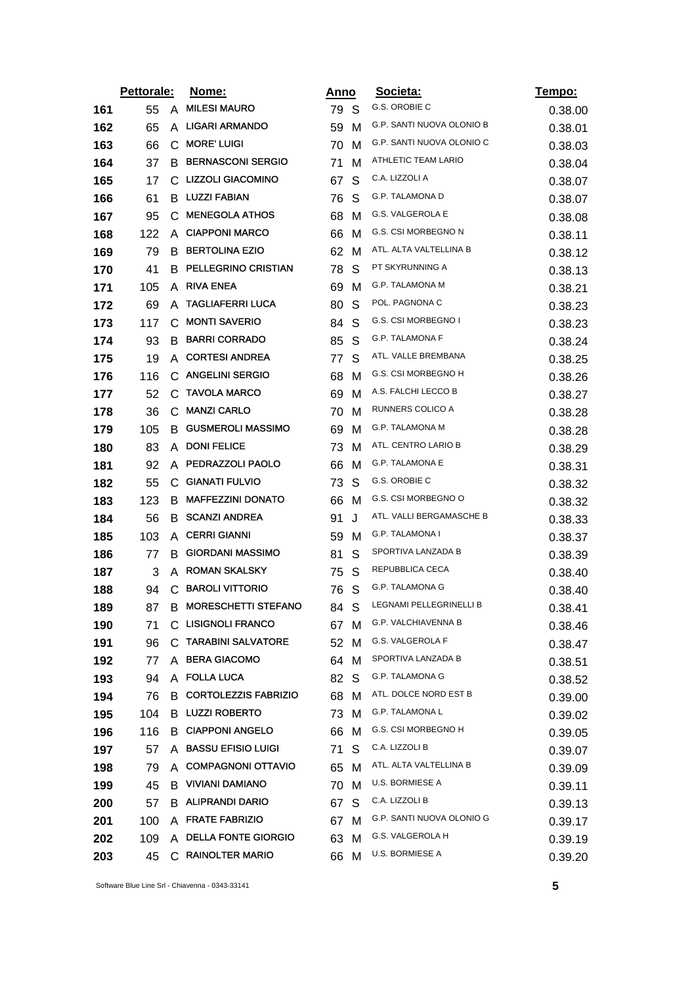|     | Pettorale: |    | Nome:<br><u>Anno</u>          |     | Societa: | <u>Tempo:</u>                    |         |
|-----|------------|----|-------------------------------|-----|----------|----------------------------------|---------|
| 161 | 55         | A  | <b>MILESI MAURO</b>           | 79. | S        | G.S. OROBIE C                    | 0.38.00 |
| 162 | 65         | A  | <b>LIGARI ARMANDO</b>         | 59  | м        | <b>G.P. SANTI NUOVA OLONIO B</b> | 0.38.01 |
| 163 | 66         | C  | <b>MORE' LUIGI</b>            | 70  | м        | G.P. SANTI NUOVA OLONIO C        | 0.38.03 |
| 164 | 37         | B  | <b>BERNASCONI SERGIO</b>      | 71  | M        | ATHLETIC TEAM LARIO              | 0.38.04 |
| 165 | 17         | C. | LIZZOLI GIACOMINO             | 67  | S        | C.A. LIZZOLI A                   | 0.38.07 |
| 166 | 61         | B  | <b>LUZZI FABIAN</b>           | 76  | S        | G.P. TALAMONA D                  | 0.38.07 |
| 167 | 95         | C  | <b>MENEGOLA ATHOS</b>         | 68  | M        | G.S. VALGEROLA E                 | 0.38.08 |
| 168 | 122        | A  | <b>CIAPPONI MARCO</b>         | 66  | м        | G.S. CSI MORBEGNO N              | 0.38.11 |
| 169 | 79         | B  | <b>BERTOLINA EZIO</b>         | 62  | M        | ATL. ALTA VALTELLINA B           | 0.38.12 |
| 170 | 41         | B  | PELLEGRINO CRISTIAN           | 78  | S        | PT SKYRUNNING A                  | 0.38.13 |
| 171 | 105        | A  | <b>RIVA ENEA</b>              | 69  | M        | G.P. TALAMONA M                  | 0.38.21 |
| 172 | 69         | A  | <b>TAGLIAFERRI LUCA</b>       | 80  | S        | POL. PAGNONA C                   | 0.38.23 |
| 173 | 117        | C  | <b>MONTI SAVERIO</b>          | 84  | S        | G.S. CSI MORBEGNO I              | 0.38.23 |
| 174 | 93         | B  | <b>BARRI CORRADO</b>          | 85  | S        | G.P. TALAMONA F                  | 0.38.24 |
| 175 | 19         | A  | <b>CORTESI ANDREA</b>         | 77  | S        | ATL. VALLE BREMBANA              | 0.38.25 |
| 176 | 116        |    | C ANGELINI SERGIO             | 68  | M        | G.S. CSI MORBEGNO H              | 0.38.26 |
| 177 | 52         | С  | <b>TAVOLA MARCO</b>           | 69  | м        | A.S. FALCHI LECCO B              | 0.38.27 |
| 178 | 36         | C  | <b>MANZI CARLO</b>            | 70  | м        | RUNNERS COLICO A                 | 0.38.28 |
| 179 | 105        | B  | <b>GUSMEROLI MASSIMO</b>      | 69  | м        | <b>G.P. TALAMONA M</b>           | 0.38.28 |
| 180 | 83         | A  | <b>DONI FELICE</b>            | 73  | M        | ATL. CENTRO LARIO B              | 0.38.29 |
| 181 | 92         | A  | PEDRAZZOLI PAOLO              | 66  | M        | G.P. TALAMONA E                  | 0.38.31 |
| 182 | 55         | С  | <b>GIANATI FULVIO</b>         | 73  | S        | G.S. OROBIE C                    | 0.38.32 |
| 183 | 123        | B  | <b>MAFFEZZINI DONATO</b>      | 66  | м        | G.S. CSI MORBEGNO O              | 0.38.32 |
| 184 | 56         | В  | <b>SCANZI ANDREA</b>          | 91  | J        | ATL. VALLI BERGAMASCHE B         | 0.38.33 |
| 185 | 103        | A  | <b>CERRI GIANNI</b>           | 59  | M        | G.P. TALAMONA I                  | 0.38.37 |
| 186 | 77         | B  | <b>GIORDANI MASSIMO</b>       | 81  | S        | SPORTIVA LANZADA B               | 0.38.39 |
| 187 | 3          | A  | <b>ROMAN SKALSKY</b>          | 75  | S        | REPUBBLICA CECA                  | 0.38.40 |
| 188 | 94         | C  | <b>BAROLI VITTORIO</b>        | 76  | S        | G.P. TALAMONA G                  | 0.38.40 |
| 189 | 87         | B  | <b>MORESCHETTI STEFANO</b>    | 84  | S        | LEGNAMI PELLEGRINELLI B          | 0.38.41 |
| 190 | 71         |    | C LISIGNOLI FRANCO            | 67  | M        | <b>G.P. VALCHIAVENNA B</b>       | 0.38.46 |
| 191 | 96         |    | C. TARABINI SALVATORE         | 52  | M        | G.S. VALGEROLA F                 | 0.38.47 |
| 192 | 77         |    | A BERA GIACOMO                | 64  | M        | SPORTIVA LANZADA B               | 0.38.51 |
| 193 | 94         |    | A FOLLA LUCA                  | 82  | -S       | G.P. TALAMONA G                  | 0.38.52 |
| 194 | 76         |    | <b>B CORTOLEZZIS FABRIZIO</b> | 68  | M        | ATL. DOLCE NORD EST B            | 0.39.00 |
| 195 | 104        |    | <b>B LUZZI ROBERTO</b>        | 73  | M        | <b>G.P. TALAMONA L</b>           | 0.39.02 |
| 196 | 116        |    | <b>B</b> CIAPPONI ANGELO      | 66  | м        | G.S. CSI MORBEGNO H              | 0.39.05 |
| 197 | 57         |    | A BASSU EFISIO LUIGI          | 71  | S        | C.A. LIZZOLI B                   | 0.39.07 |
| 198 | 79         |    | A COMPAGNONI OTTAVIO          | 65  | M        | ATL. ALTA VALTELLINA B           | 0.39.09 |
| 199 | 45         |    | <b>B</b> VIVIANI DAMIANO      | 70  | M        | U.S. BORMIESE A                  | 0.39.11 |
| 200 | 57         |    | <b>B ALIPRANDI DARIO</b>      | 67  | S        | C.A. LIZZOLI B                   | 0.39.13 |
| 201 | 100        |    | A FRATE FABRIZIO              | 67  | м        | G.P. SANTI NUOVA OLONIO G        | 0.39.17 |
| 202 | 109        |    | A DELLA FONTE GIORGIO         | 63  | M        | G.S. VALGEROLA H                 | 0.39.19 |
| 203 | 45         |    | C RAINOLTER MARIO             | 66  | M        | <b>U.S. BORMIESE A</b>           | 0.39.20 |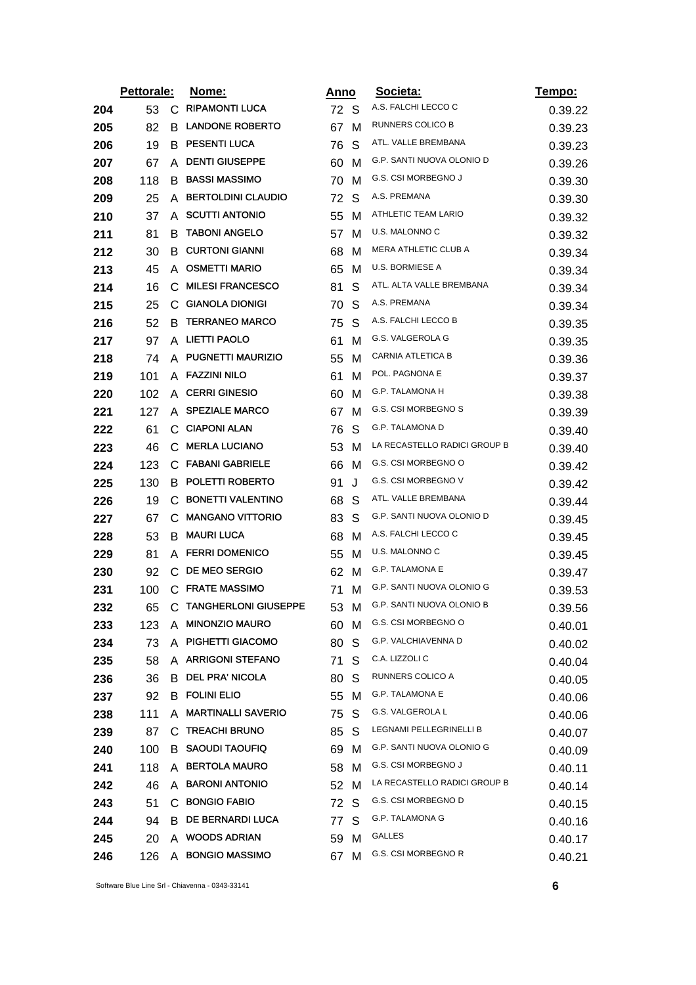|     | Pettorale: |                | Nome:                     | Anno |    | Societa:                     | <u>Tempo:</u> |
|-----|------------|----------------|---------------------------|------|----|------------------------------|---------------|
| 204 | 53         | C              | <b>RIPAMONTI LUCA</b>     | 72 S |    | A.S. FALCHI LECCO C          | 0.39.22       |
| 205 | 82         | B              | <b>LANDONE ROBERTO</b>    | 67   | м  | RUNNERS COLICO B             | 0.39.23       |
| 206 | 19         | B              | <b>PESENTI LUCA</b>       | 76   | S  | ATL. VALLE BREMBANA          | 0.39.23       |
| 207 | 67         | A              | <b>DENTI GIUSEPPE</b>     | 60   | M  | G.P. SANTI NUOVA OLONIO D    | 0.39.26       |
| 208 | 118        | B              | <b>BASSI MASSIMO</b>      | 70   | M  | G.S. CSI MORBEGNO J          | 0.39.30       |
| 209 | 25         | A              | <b>BERTOLDINI CLAUDIO</b> | 72   | S  | A.S. PREMANA                 | 0.39.30       |
| 210 | 37         | A              | <b>SCUTTI ANTONIO</b>     | 55   | м  | ATHLETIC TEAM LARIO          | 0.39.32       |
| 211 | 81         | В              | <b>TABONI ANGELO</b>      | 57   | M  | U.S. MALONNO C               | 0.39.32       |
| 212 | 30         | B              | <b>CURTONI GIANNI</b>     | 68   | м  | <b>MERA ATHLETIC CLUB A</b>  | 0.39.34       |
| 213 | 45         |                | A OSMETTI MARIO           | 65   | м  | U.S. BORMIESE A              | 0.39.34       |
| 214 | 16         | C              | <b>MILESI FRANCESCO</b>   | 81   | S  | ATL. ALTA VALLE BREMBANA     | 0.39.34       |
| 215 | 25         |                | C GIANOLA DIONIGI         | 70   | S  | A.S. PREMANA                 | 0.39.34       |
| 216 | 52         | B              | <b>TERRANEO MARCO</b>     | 75   | S  | A.S. FALCHI LECCO B          | 0.39.35       |
| 217 | 97         |                | A LIETTI PAOLO            | 61   | м  | G.S. VALGEROLA G             | 0.39.35       |
| 218 | 74         |                | A PUGNETTI MAURIZIO       | 55   | м  | <b>CARNIA ATLETICA B</b>     | 0.39.36       |
| 219 | 101        |                | A FAZZINI NILO            | 61   | м  | POL. PAGNONA E               | 0.39.37       |
| 220 | 102        | A              | <b>CERRI GINESIO</b>      | 60   | M  | G.P. TALAMONA H              | 0.39.38       |
| 221 | 127        |                | A SPEZIALE MARCO          | 67   | M  | G.S. CSI MORBEGNO S          | 0.39.39       |
| 222 | 61         |                | C CIAPONI ALAN            | 76   | S  | G.P. TALAMONA D              | 0.39.40       |
| 223 | 46         | C              | <b>MERLA LUCIANO</b>      | 53   | м  | LA RECASTELLO RADICI GROUP B | 0.39.40       |
| 224 | 123        | $\mathsf{C}^-$ | <b>FABANI GABRIELE</b>    | 66   | M  | G.S. CSI MORBEGNO O          | 0.39.42       |
| 225 | 130        | В              | POLETTI ROBERTO           | 91   | J  | G.S. CSI MORBEGNO V          | 0.39.42       |
| 226 | 19         |                | C BONETTI VALENTINO       | 68   | S  | ATL. VALLE BREMBANA          | 0.39.44       |
| 227 | 67         | C              | <b>MANGANO VITTORIO</b>   | 83   | S  | G.P. SANTI NUOVA OLONIO D    | 0.39.45       |
| 228 | 53         | B              | MAURI LUCA                | 68   | м  | A.S. FALCHI LECCO C          | 0.39.45       |
| 229 | 81         | A              | <b>FERRI DOMENICO</b>     | 55   | м  | U.S. MALONNO C               | 0.39.45       |
| 230 | 92         |                | C DE MEO SERGIO           | 62   | M  | G.P. TALAMONA E              | 0.39.47       |
| 231 | 100        |                | C FRATE MASSIMO           | 71   | м  | G.P. SANTI NUOVA OLONIO G    | 0.39.53       |
| 232 | 65         |                | C TANGHERLONI GIUSEPPE    | 53   | м  | G.P. SANTI NUOVA OLONIO B    | 0.39.56       |
| 233 | 123        |                | A MINONZIO MAURO          | 60   | M  | G.S. CSI MORBEGNO O          | 0.40.01       |
| 234 | 73         |                | A PIGHETTI GIACOMO        | 80   | S  | G.P. VALCHIAVENNA D          | 0.40.02       |
| 235 | 58         |                | A ARRIGONI STEFANO        | 71   | S  | C.A. LIZZOLI C               | 0.40.04       |
| 236 | 36         |                | <b>B</b> DEL PRA' NICOLA  | 80   | S  | RUNNERS COLICO A             | 0.40.05       |
| 237 | 92         |                | <b>B FOLINI ELIO</b>      | 55   | м  | <b>G.P. TALAMONA E</b>       | 0.40.06       |
| 238 | 111        | A              | <b>MARTINALLI SAVERIO</b> | 75   | S  | <b>G.S. VALGEROLA L</b>      | 0.40.06       |
| 239 | 87         | C.             | <b>TREACHI BRUNO</b>      | 85   | S  | LEGNAMI PELLEGRINELLI B      | 0.40.07       |
| 240 | 100        | B              | <b>SAOUDI TAOUFIQ</b>     | 69   | M  | G.P. SANTI NUOVA OLONIO G    | 0.40.09       |
| 241 | 118        |                | A BERTOLA MAURO           | 58   | M  | G.S. CSI MORBEGNO J          | 0.40.11       |
| 242 | 46         |                | A BARONI ANTONIO          | 52   | M  | LA RECASTELLO RADICI GROUP B | 0.40.14       |
| 243 | 51         |                | C BONGIO FABIO            | 72   | -S | G.S. CSI MORBEGNO D          | 0.40.15       |
| 244 | 94         |                | <b>B DE BERNARDI LUCA</b> | 77   | S  | G.P. TALAMONA G              | 0.40.16       |
| 245 | 20         |                | A WOODS ADRIAN            | 59   | M  | GALLES                       | 0.40.17       |
| 246 | 126        |                | A BONGIO MASSIMO          | 67   | M  | G.S. CSI MORBEGNO R          | 0.40.21       |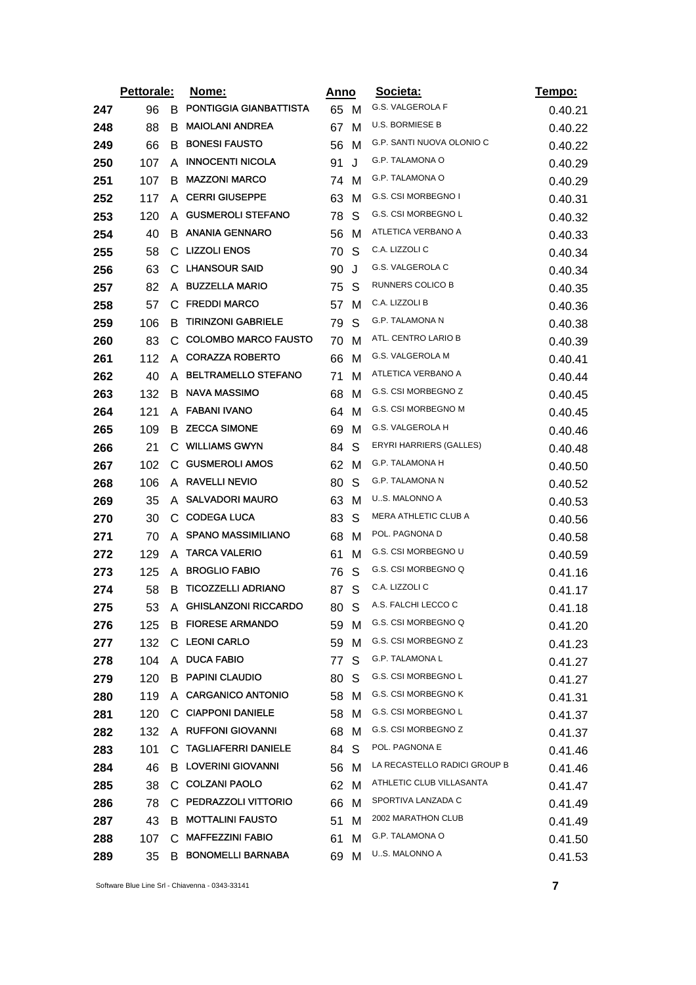|     | Pettorale: |    | Nome:                       | <u>Anno</u> |   | Societa:                     | <u>Tempo:</u> |
|-----|------------|----|-----------------------------|-------------|---|------------------------------|---------------|
| 247 | 96         | B  | PONTIGGIA GIANBATTISTA      | 65 M        |   | G.S. VALGEROLA F             | 0.40.21       |
| 248 | 88         | B  | <b>MAIOLANI ANDREA</b>      | 67          | м | <b>U.S. BORMIESE B</b>       | 0.40.22       |
| 249 | 66         | В  | <b>BONESI FAUSTO</b>        | 56          | м | G.P. SANTI NUOVA OLONIO C    | 0.40.22       |
| 250 | 107        | A  | <b>INNOCENTI NICOLA</b>     | 91          | J | <b>G.P. TALAMONA O</b>       | 0.40.29       |
| 251 | 107        | В  | <b>MAZZONI MARCO</b>        | 74 M        |   | G.P. TALAMONA O              | 0.40.29       |
| 252 | 117        | A  | <b>CERRI GIUSEPPE</b>       | 63          | M | G.S. CSI MORBEGNO I          | 0.40.31       |
| 253 | 120        | A  | <b>GUSMEROLI STEFANO</b>    | 78          | S | G.S. CSI MORBEGNO L          | 0.40.32       |
| 254 | 40         | B  | <b>ANANIA GENNARO</b>       | 56          | M | ATLETICA VERBANO A           | 0.40.33       |
| 255 | 58         | С  | <b>LIZZOLI ENOS</b>         | 70          | S | C.A. LIZZOLI C               | 0.40.34       |
| 256 | 63         |    | C LHANSOUR SAID             | 90          | J | G.S. VALGEROLA C             | 0.40.34       |
| 257 | 82         | A  | <b>BUZZELLA MARIO</b>       | 75          | S | RUNNERS COLICO B             | 0.40.35       |
| 258 | 57         |    | C FREDDI MARCO              | 57          | M | C.A. LIZZOLI B               | 0.40.36       |
| 259 | 106        | B  | <b>TIRINZONI GABRIELE</b>   | 79          | S | G.P. TALAMONA N              | 0.40.38       |
| 260 | 83         | C  | <b>COLOMBO MARCO FAUSTO</b> | 70          | м | ATL. CENTRO LARIO B          | 0.40.39       |
| 261 | 112        | A  | <b>CORAZZA ROBERTO</b>      | 66          | M | G.S. VALGEROLA M             | 0.40.41       |
| 262 | 40         | A  | <b>BELTRAMELLO STEFANO</b>  | 71          | м | ATLETICA VERBANO A           | 0.40.44       |
| 263 | 132        | B  | <b>NAVA MASSIMO</b>         | 68          | м | G.S. CSI MORBEGNO Z          | 0.40.45       |
| 264 | 121        | A  | <b>FABANI IVANO</b>         | 64          | м | G.S. CSI MORBEGNO M          | 0.40.45       |
| 265 | 109        | В  | <b>ZECCA SIMONE</b>         | 69          | M | G.S. VALGEROLA H             | 0.40.46       |
| 266 | 21         | C  | <b>WILLIAMS GWYN</b>        | 84          | S | ERYRI HARRIERS (GALLES)      | 0.40.48       |
| 267 | 102        | C. | <b>GUSMEROLI AMOS</b>       | 62          | M | G.P. TALAMONA H              | 0.40.50       |
| 268 | 106        | A  | <b>RAVELLI NEVIO</b>        | 80          | S | <b>G.P. TALAMONA N</b>       | 0.40.52       |
| 269 | 35         | A  | <b>SALVADORI MAURO</b>      | 63          | M | U.S. MALONNO A               | 0.40.53       |
| 270 | 30         | C  | <b>CODEGA LUCA</b>          | 83          | S | <b>MERA ATHLETIC CLUB A</b>  | 0.40.56       |
| 271 | 70         | A  | <b>SPANO MASSIMILIANO</b>   | 68          | м | POL. PAGNONA D               | 0.40.58       |
| 272 | 129        | A  | <b>TARCA VALERIO</b>        | 61          | м | G.S. CSI MORBEGNO U          | 0.40.59       |
| 273 | 125        | A  | <b>BROGLIO FABIO</b>        | 76          | S | G.S. CSI MORBEGNO Q          | 0.41.16       |
| 274 | 58         | B  | <b>TICOZZELLI ADRIANO</b>   | 87          | S | C.A. LIZZOLI C               | 0.41.17       |
| 275 | 53         | A  | <b>GHISLANZONI RICCARDO</b> | 80          | S | A.S. FALCHI LECCO C          | 0.41.18       |
| 276 | 125        |    | <b>B FIORESE ARMANDO</b>    | 59 M        |   | G.S. CSI MORBEGNO Q          | 0.41.20       |
| 277 | 132        | C. | <b>LEONI CARLO</b>          | 59          | M | G.S. CSI MORBEGNO Z          | 0.41.23       |
| 278 | 104        | A  | <b>DUCA FABIO</b>           | 77          | S | G.P. TALAMONA L              | 0.41.27       |
| 279 | 120        | B. | <b>PAPINI CLAUDIO</b>       | 80          | S | G.S. CSI MORBEGNO L          | 0.41.27       |
| 280 | 119        |    | A CARGANICO ANTONIO         | 58          | M | G.S. CSI MORBEGNO K          | 0.41.31       |
| 281 | 120        | C  | <b>CIAPPONI DANIELE</b>     | 58 M        |   | G.S. CSI MORBEGNO L          | 0.41.37       |
| 282 | 132        | A  | <b>RUFFONI GIOVANNI</b>     | 68          | M | G.S. CSI MORBEGNO Z          | 0.41.37       |
| 283 | 101        | C. | <b>TAGLIAFERRI DANIELE</b>  | 84          | S | POL. PAGNONA E               | 0.41.46       |
| 284 | 46         |    | <b>B</b> LOVERINI GIOVANNI  | 56 M        |   | LA RECASTELLO RADICI GROUP B | 0.41.46       |
| 285 | 38         | C. | <b>COLZANI PAOLO</b>        | 62          | M | ATHLETIC CLUB VILLASANTA     | 0.41.47       |
| 286 | 78         |    | C PEDRAZZOLI VITTORIO       | 66          | M | SPORTIVA LANZADA C           | 0.41.49       |
| 287 | 43         | B  | <b>MOTTALINI FAUSTO</b>     | 51          | M | 2002 MARATHON CLUB           | 0.41.49       |
| 288 | 107        | C. | <b>MAFFEZZINI FABIO</b>     | 61          | M | <b>G.P. TALAMONA O</b>       | 0.41.50       |
| 289 | 35         | B  | <b>BONOMELLI BARNABA</b>    | 69 M        |   | U.S. MALONNO A               | 0.41.53       |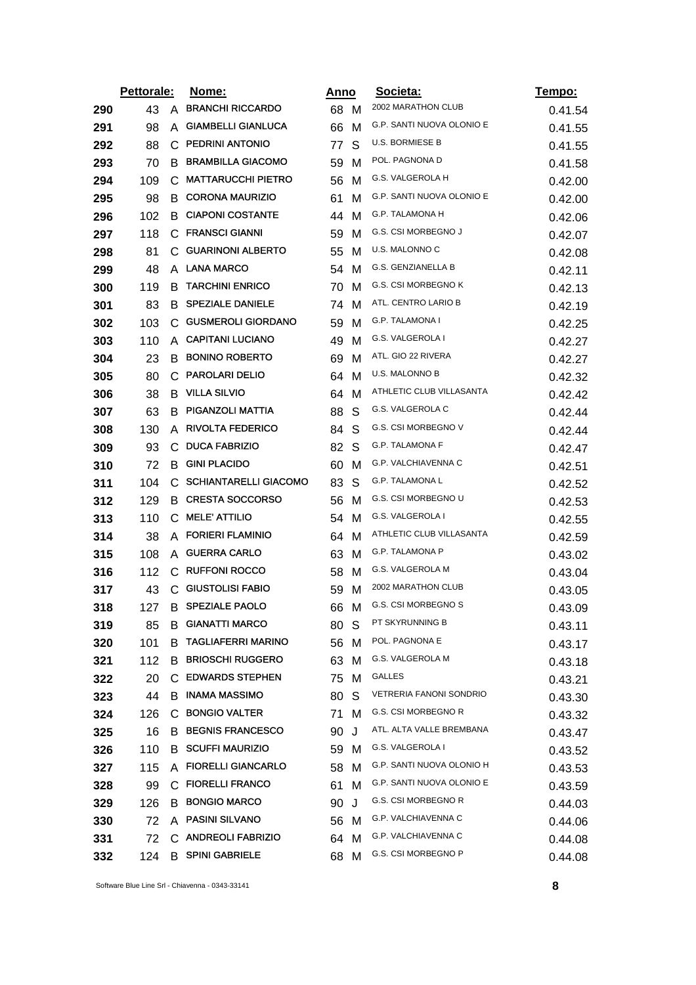|     | Pettorale: |              | <u>Nome:</u><br><u>Anno</u>  |      |   | Societa:                   | <u>Tempo:</u> |
|-----|------------|--------------|------------------------------|------|---|----------------------------|---------------|
| 290 | 43         | A            | <b>BRANCHI RICCARDO</b>      | 68 M |   | 2002 MARATHON CLUB         | 0.41.54       |
| 291 | 98         | A            | <b>GIAMBELLI GIANLUCA</b>    | 66   | м | G.P. SANTI NUOVA OLONIO E  | 0.41.55       |
| 292 | 88         | C            | <b>PEDRINI ANTONIO</b>       | 77   | S | U.S. BORMIESE B            | 0.41.55       |
| 293 | 70         | B            | <b>BRAMBILLA GIACOMO</b>     | 59   | M | POL. PAGNONA D             | 0.41.58       |
| 294 | 109        | С            | <b>MATTARUCCHI PIETRO</b>    | 56   | м | G.S. VALGEROLA H           | 0.42.00       |
| 295 | 98         | В.           | <b>CORONA MAURIZIO</b>       | 61   | м | G.P. SANTI NUOVA OLONIO E  | 0.42.00       |
| 296 | 102        | B            | <b>CIAPONI COSTANTE</b>      | 44   | м | G.P. TALAMONA H            | 0.42.06       |
| 297 | 118        | C.           | <b>FRANSCI GIANNI</b>        | 59   | M | <b>G.S. CSI MORBEGNO J</b> | 0.42.07       |
| 298 | 81         | C            | <b>GUARINONI ALBERTO</b>     | 55   | м | U.S. MALONNO C             | 0.42.08       |
| 299 | 48         | A            | <b>LANA MARCO</b>            | 54   | м | G.S. GENZIANELLA B         | 0.42.11       |
| 300 | 119        | B            | <b>TARCHINI ENRICO</b>       | 70   | M | G.S. CSI MORBEGNO K        | 0.42.13       |
| 301 | 83         | В            | <b>SPEZIALE DANIELE</b>      | 74   | M | ATL. CENTRO LARIO B        | 0.42.19       |
| 302 | 103        | C            | <b>GUSMEROLI GIORDANO</b>    | 59   | м | <b>G.P. TALAMONA I</b>     | 0.42.25       |
| 303 | 110        | A            | <b>CAPITANI LUCIANO</b>      | 49   | м | G.S. VALGEROLA I           | 0.42.27       |
| 304 | 23         | B            | <b>BONINO ROBERTO</b>        | 69   | M | ATL. GIO 22 RIVERA         | 0.42.27       |
| 305 | 80         |              | C PAROLARI DELIO             | 64   | M | U.S. MALONNO B             | 0.42.32       |
| 306 | 38         | B            | <b>VILLA SILVIO</b>          | 64   | м | ATHLETIC CLUB VILLASANTA   | 0.42.42       |
| 307 | 63         | В            | PIGANZOLI MATTIA             | 88   | S | G.S. VALGEROLA C           | 0.42.44       |
| 308 | 130        | A            | <b>RIVOLTA FEDERICO</b>      | 84   | S | G.S. CSI MORBEGNO V        | 0.42.44       |
| 309 | 93         | C            | <b>DUCA FABRIZIO</b>         | 82   | S | G.P. TALAMONA F            | 0.42.47       |
| 310 | 72         | B            | <b>GINI PLACIDO</b>          | 60   | м | G.P. VALCHIAVENNA C        | 0.42.51       |
| 311 | 104        | С            | <b>SCHIANTARELLI GIACOMO</b> | 83   | S | <b>G.P. TALAMONA L</b>     | 0.42.52       |
| 312 | 129        |              | <b>B</b> CRESTA SOCCORSO     | 56   | M | G.S. CSI MORBEGNO U        | 0.42.53       |
| 313 | 110        | C            | <b>MELE' ATTILIO</b>         | 54   | м | G.S. VALGEROLA I           | 0.42.55       |
| 314 | 38         | A            | <b>FORIERI FLAMINIO</b>      | 64   | м | ATHLETIC CLUB VILLASANTA   | 0.42.59       |
| 315 | 108        | A            | <b>GUERRA CARLO</b>          | 63   | M | G.P. TALAMONA P            | 0.43.02       |
| 316 | 112        | $\mathsf{C}$ | <b>RUFFONI ROCCO</b>         | 58   | M | G.S. VALGEROLA M           | 0.43.04       |
| 317 | 43         | C            | <b>GIUSTOLISI FABIO</b>      | 59   | м | 2002 MARATHON CLUB         | 0.43.05       |
| 318 | 127        |              | <b>B SPEZIALE PAOLO</b>      | 66   | M | G.S. CSI MORBEGNO S        | 0.43.09       |
| 319 | 85         | B            | <b>GIANATTI MARCO</b>        | 80   | S | PT SKYRUNNING B            | 0.43.11       |
| 320 | 101        | В            | <b>TAGLIAFERRI MARINO</b>    | 56   | M | POL. PAGNONA E             | 0.43.17       |
| 321 | 112        | B            | <b>BRIOSCHI RUGGERO</b>      | 63   | M | G.S. VALGEROLA M           | 0.43.18       |
| 322 | 20         | C.           | <b>EDWARDS STEPHEN</b>       | 75 M |   | GALLES                     | 0.43.21       |
| 323 | 44         |              | <b>B</b> INAMA MASSIMO       | 80   | S | VETRERIA FANONI SONDRIO    | 0.43.30       |
| 324 | 126        | С            | <b>BONGIO VALTER</b>         | 71   | M | <b>G.S. CSI MORBEGNO R</b> | 0.43.32       |
| 325 | 16         | B.           | <b>BEGNIS FRANCESCO</b>      | 90   | J | ATL. ALTA VALLE BREMBANA   | 0.43.47       |
| 326 | 110        | B.           | <b>SCUFFI MAURIZIO</b>       | 59 M |   | G.S. VALGEROLA I           | 0.43.52       |
| 327 | 115        |              | A FIORELLI GIANCARLO         | 58   | M | G.P. SANTI NUOVA OLONIO H  | 0.43.53       |
| 328 | 99         | C.           | <b>FIORELLI FRANCO</b>       | 61   | M | G.P. SANTI NUOVA OLONIO E  | 0.43.59       |
| 329 | 126        | B            | <b>BONGIO MARCO</b>          | 90   | J | G.S. CSI MORBEGNO R        | 0.44.03       |
| 330 | 72         | A            | <b>PASINI SILVANO</b>        | 56 M |   | G.P. VALCHIAVENNA C        | 0.44.06       |
| 331 | 72         |              | C ANDREOLI FABRIZIO          | 64   | M | G.P. VALCHIAVENNA C        | 0.44.08       |
| 332 | 124        |              | <b>B SPINI GABRIELE</b>      | 68 M |   | G.S. CSI MORBEGNO P        | 0.44.08       |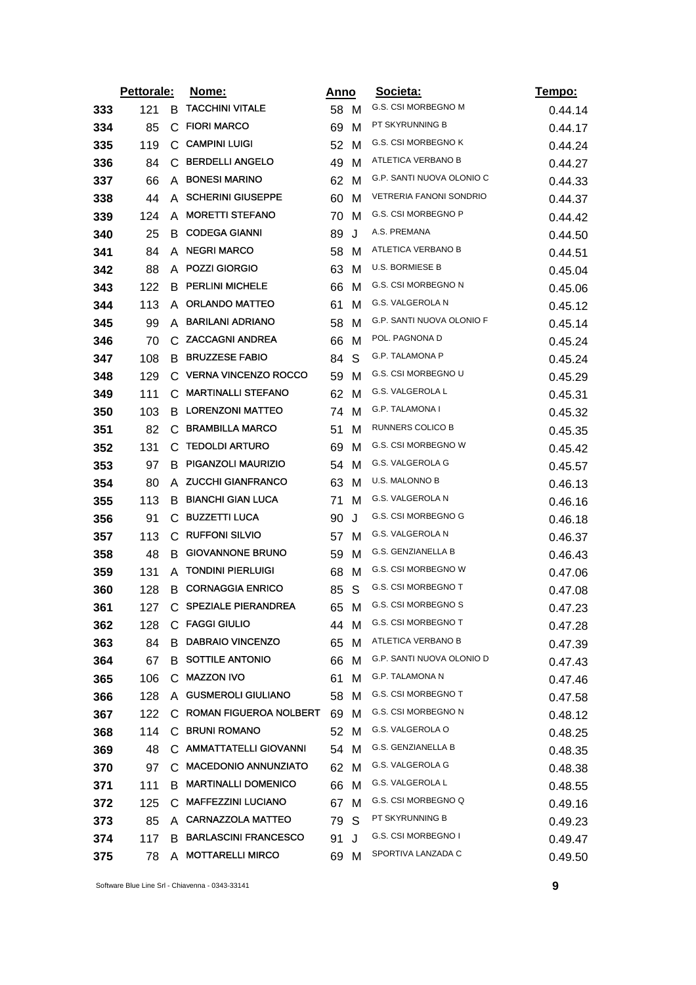|     | Pettorale: |              | <u>Nome:</u>                  |      | <u>Anno</u> | Societa:                       | Tempo:  |
|-----|------------|--------------|-------------------------------|------|-------------|--------------------------------|---------|
| 333 | 121        | в            | <b>TACCHINI VITALE</b>        | 58 M |             | G.S. CSI MORBEGNO M            | 0.44.14 |
| 334 | 85         | C            | <b>FIORI MARCO</b>            | 69   | M           | PT SKYRUNNING B                | 0.44.17 |
| 335 | 119        | С            | <b>CAMPINI LUIGI</b>          | 52   | M           | G.S. CSI MORBEGNO K            | 0.44.24 |
| 336 | 84         | $\mathbf{C}$ | <b>BERDELLI ANGELO</b>        | 49   | м           | ATLETICA VERBANO B             | 0.44.27 |
| 337 | 66         | A            | <b>BONESI MARINO</b>          | 62   | M           | G.P. SANTI NUOVA OLONIO C      | 0.44.33 |
| 338 | 44         | A            | <b>SCHERINI GIUSEPPE</b>      | 60   | M           | <b>VETRERIA FANONI SONDRIO</b> | 0.44.37 |
| 339 | 124        | A            | <b>MORETTI STEFANO</b>        | 70   | M           | G.S. CSI MORBEGNO P            | 0.44.42 |
| 340 | 25         |              | <b>B</b> CODEGA GIANNI        | 89   | J           | A.S. PREMANA                   | 0.44.50 |
| 341 | 84         | A            | <b>NEGRI MARCO</b>            | 58   | м           | ATLETICA VERBANO B             | 0.44.51 |
| 342 | 88         |              | A POZZI GIORGIO               | 63   | M           | U.S. BORMIESE B                | 0.45.04 |
| 343 | 122        | B            | <b>PERLINI MICHELE</b>        | 66   | M           | G.S. CSI MORBEGNO N            | 0.45.06 |
| 344 | 113        |              | A ORLANDO MATTEO              | 61   | M           | G.S. VALGEROLA N               | 0.45.12 |
| 345 | 99         | A            | <b>BARILANI ADRIANO</b>       | 58   | M           | G.P. SANTI NUOVA OLONIO F      | 0.45.14 |
| 346 | 70         |              | C ZACCAGNI ANDREA             | 66   | M           | POL. PAGNONA D                 | 0.45.24 |
| 347 | 108        | B            | <b>BRUZZESE FABIO</b>         | 84   | S           | <b>G.P. TALAMONA P</b>         | 0.45.24 |
| 348 | 129        | C.           | <b>VERNA VINCENZO ROCCO</b>   | 59   | M           | G.S. CSI MORBEGNO U            | 0.45.29 |
| 349 | 111        | С            | <b>MARTINALLI STEFANO</b>     | 62   | M           | <b>G.S. VALGEROLA L</b>        | 0.45.31 |
| 350 | 103        | B            | <b>LORENZONI MATTEO</b>       | 74   | M           | G.P. TALAMONA I                | 0.45.32 |
| 351 | 82         | C.           | <b>BRAMBILLA MARCO</b>        | 51   | м           | RUNNERS COLICO B               | 0.45.35 |
| 352 | 131        | С            | <b>TEDOLDI ARTURO</b>         | 69   | M           | G.S. CSI MORBEGNO W            | 0.45.42 |
| 353 | 97         | В            | PIGANZOLI MAURIZIO            | 54   | M           | G.S. VALGEROLA G               | 0.45.57 |
| 354 | 80         | A            | <b>ZUCCHI GIANFRANCO</b>      | 63   | M           | U.S. MALONNO B                 | 0.46.13 |
| 355 | 113        | B            | <b>BIANCHI GIAN LUCA</b>      | 71   | M           | G.S. VALGEROLA N               | 0.46.16 |
| 356 | 91         | С            | <b>BUZZETTI LUCA</b>          | 90   | J           | G.S. CSI MORBEGNO G            | 0.46.18 |
| 357 | 113        |              | C RUFFONI SILVIO              | 57   | M           | G.S. VALGEROLA N               | 0.46.37 |
| 358 | 48         | B            | <b>GIOVANNONE BRUNO</b>       | 59   | M           | G.S. GENZIANELLA B             | 0.46.43 |
| 359 | 131        | A            | <b>TONDINI PIERLUIGI</b>      | 68   | M           | G.S. CSI MORBEGNO W            | 0.47.06 |
| 360 | 128        | B.           | <b>CORNAGGIA ENRICO</b>       | 85   | S           | <b>G.S. CSI MORBEGNO T</b>     | 0.47.08 |
| 361 | 127        |              | C SPEZIALE PIERANDREA         | 65   | м           | G.S. CSI MORBEGNO S            | 0.47.23 |
| 362 | 128        |              | C FAGGI GIULIO                | 44 M |             | <b>G.S. CSI MORBEGNO T</b>     | 0.47.28 |
| 363 | 84         | В            | <b>DABRAIO VINCENZO</b>       | 65   | M           | ATLETICA VERBANO B             | 0.47.39 |
| 364 | 67         | В            | SOTTILE ANTONIO               | 66   | м           | G.P. SANTI NUOVA OLONIO D      | 0.47.43 |
| 365 | 106        | С            | <b>MAZZON IVO</b>             | 61   | м           | <b>G.P. TALAMONA N</b>         | 0.47.46 |
| 366 | 128        |              | A GUSMEROLI GIULIANO          | 58   | м           | G.S. CSI MORBEGNO T            | 0.47.58 |
| 367 | 122        | С            | <b>ROMAN FIGUEROA NOLBERT</b> | 69   | м           | G.S. CSI MORBEGNO N            | 0.48.12 |
| 368 | 114        |              | C BRUNI ROMANO                | 52   | M           | G.S. VALGEROLA O               | 0.48.25 |
| 369 | 48         |              | C. AMMATTATELLI GIOVANNI      | 54   | M           | G.S. GENZIANELLA B             | 0.48.35 |
| 370 | 97         |              | C. MACEDONIO ANNUNZIATO       | 62   | M           | G.S. VALGEROLA G               | 0.48.38 |
| 371 | 111        | В            | <b>MARTINALLI DOMENICO</b>    | 66   | м           | G.S. VALGEROLA L               | 0.48.55 |
| 372 | 125        |              | C MAFFEZZINI LUCIANO          | 67   | M           | G.S. CSI MORBEGNO Q            | 0.49.16 |
| 373 | 85         |              | A CARNAZZOLA MATTEO           | 79   | S           | PT SKYRUNNING B                | 0.49.23 |
| 374 | 117        | B            | <b>BARLASCINI FRANCESCO</b>   | 91   | J           | G.S. CSI MORBEGNO I            | 0.49.47 |
| 375 | 78         |              | A MOTTARELLI MIRCO            | 69   | M           | SPORTIVA LANZADA C             | 0.49.50 |